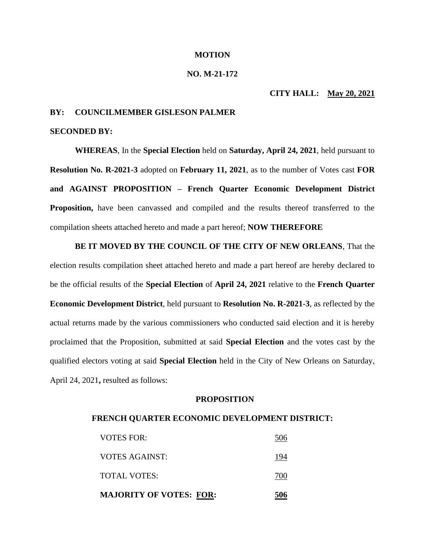### **MOTION**

## **NO. M-21-172**

# **CITY HALL: May 20, 2021**

# **BY: COUNCILMEMBER GISLESON PALMER**

# **SECONDED BY:**

**WHEREAS**, In the **Special Election** held on **Saturday, April 24, 2021**, held pursuant to **Resolution No. R-2021-3** adopted on **February 11, 2021**, as to the number of Votes cast **FOR and AGAINST PROPOSITION – French Quarter Economic Development District Proposition,** have been canvassed and compiled and the results thereof transferred to the compilation sheets attached hereto and made a part hereof; **NOW THEREFORE**

**BE IT MOVED BY THE COUNCIL OF THE CITY OF NEW ORLEANS**, That the election results compilation sheet attached hereto and made a part hereof are hereby declared to be the official results of the **Special Election** of **April 24, 2021** relative to the **French Quarter Economic Development District**, held pursuant to **Resolution No. R-2021-3**, as reflected by the actual returns made by the various commissioners who conducted said election and it is hereby proclaimed that the Proposition, submitted at said **Special Election** and the votes cast by the qualified electors voting at said **Special Election** held in the City of New Orleans on Saturday, April 24, 2021**,** resulted as follows:

### **PROPOSITION**

#### **FRENCH QUARTER ECONOMIC DEVELOPMENT DISTRICT:**

| <b>MAJORITY OF VOTES: FOR:</b> |     |
|--------------------------------|-----|
| TOTAL VOTES:                   | 700 |
| <b>VOTES AGAINST:</b>          | 194 |
| <b>VOTES FOR:</b>              | 506 |